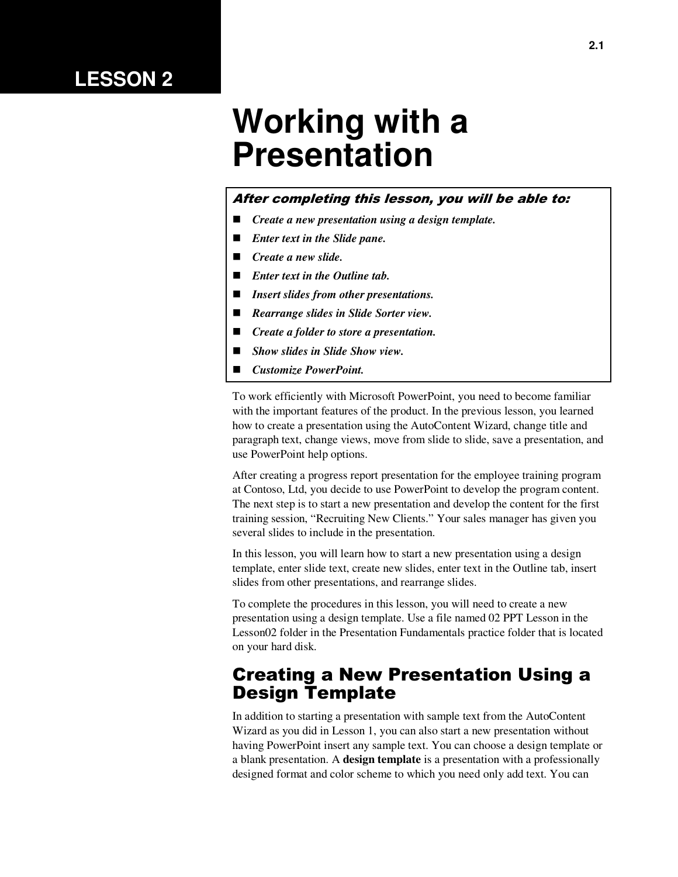# **LESSON 2**

# **Working with a Presentation**

#### After completing this lesson, you will be able to:

- *Create a new presentation using a design template.*
- *Enter text in the Slide pane.*
- *Create a new slide.*
- *Enter text in the Outline tab.*
- *Insert slides from other presentations.*
- *Rearrange slides in Slide Sorter view.*
- *Create a folder to store a presentation.*
- *Show slides in Slide Show view.*
- *Customize PowerPoint.*

To work efficiently with Microsoft PowerPoint, you need to become familiar with the important features of the product. In the previous lesson, you learned how to create a presentation using the AutoContent Wizard, change title and paragraph text, change views, move from slide to slide, save a presentation, and use PowerPoint help options.

After creating a progress report presentation for the employee training program at Contoso, Ltd, you decide to use PowerPoint to develop the program content. The next step is to start a new presentation and develop the content for the first training session, "Recruiting New Clients." Your sales manager has given you several slides to include in the presentation.

In this lesson, you will learn how to start a new presentation using a design template, enter slide text, create new slides, enter text in the Outline tab, insert slides from other presentations, and rearrange slides.

To complete the procedures in this lesson, you will need to create a new presentation using a design template. Use a file named 02 PPT Lesson in the Lesson02 folder in the Presentation Fundamentals practice folder that is located on your hard disk.

### Creating a New Presentation Using a Design Template

In addition to starting a presentation with sample text from the AutoContent Wizard as you did in Lesson 1, you can also start a new presentation without having PowerPoint insert any sample text. You can choose a design template or a blank presentation. A **design template** is a presentation with a professionally designed format and color scheme to which you need only add text. You can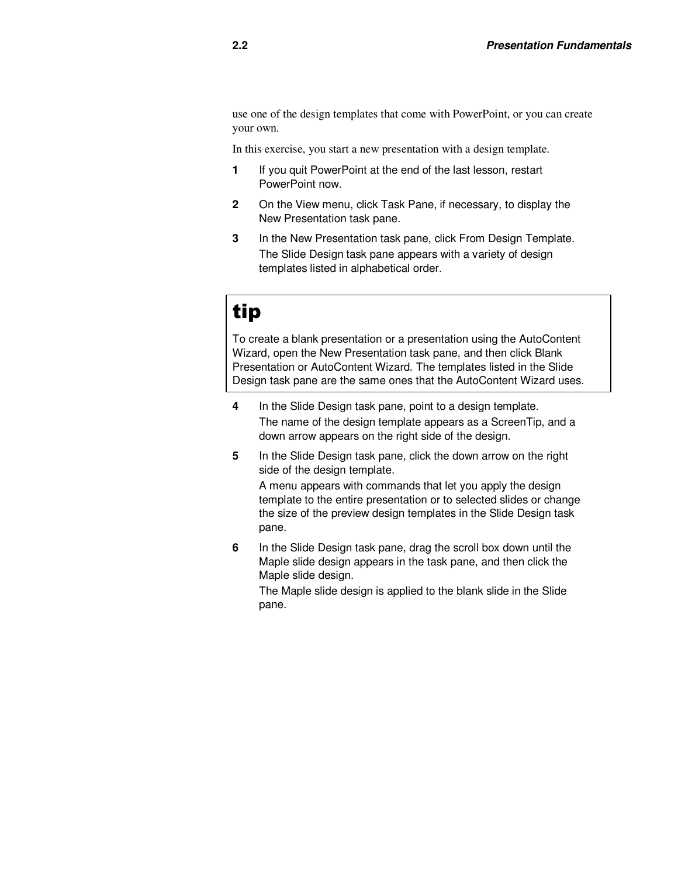use one of the design templates that come with PowerPoint, or you can create your own.

In this exercise, you start a new presentation with a design template.

- **1** If you quit PowerPoint at the end of the last lesson, restart PowerPoint now.
- **2** On the View menu, click Task Pane, if necessary, to display the New Presentation task pane.
- **3** In the New Presentation task pane, click From Design Template. The Slide Design task pane appears with a variety of design templates listed in alphabetical order.

# tip

To create a blank presentation or a presentation using the AutoContent Wizard, open the New Presentation task pane, and then click Blank Presentation or AutoContent Wizard. The templates listed in the Slide Design task pane are the same ones that the AutoContent Wizard uses.

- **4** In the Slide Design task pane, point to a design template. The name of the design template appears as a ScreenTip, and a down arrow appears on the right side of the design.
- **5** In the Slide Design task pane, click the down arrow on the right side of the design template. A menu appears with commands that let you apply the design template to the entire presentation or to selected slides or change the size of the preview design templates in the Slide Design task pane.
- **6** In the Slide Design task pane, drag the scroll box down until the Maple slide design appears in the task pane, and then click the Maple slide design.

The Maple slide design is applied to the blank slide in the Slide pane.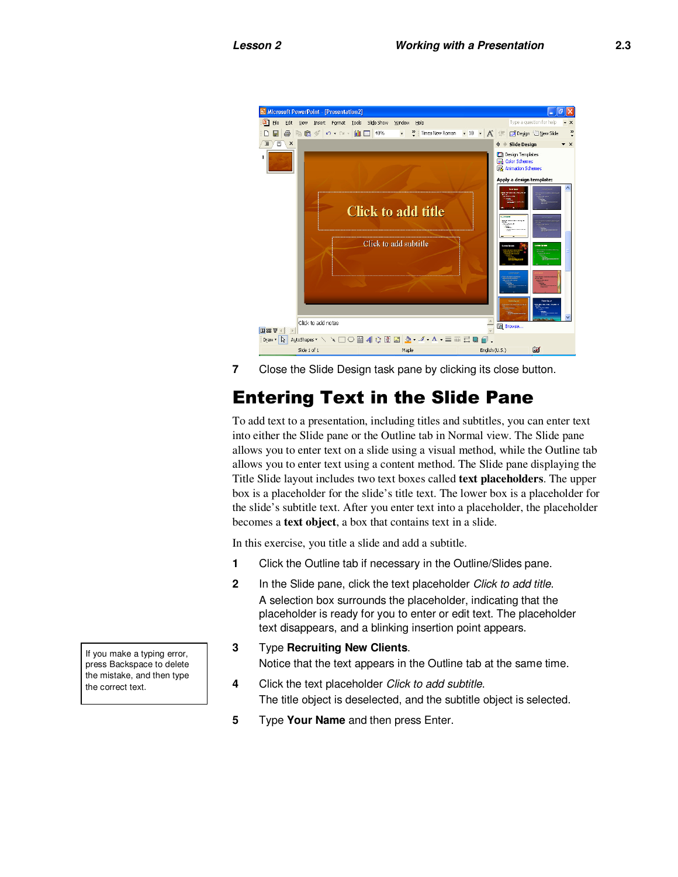

**7** Close the Slide Design task pane by clicking its close button.

# Entering Text in the Slide Pane

To add text to a presentation, including titles and subtitles, you can enter text into either the Slide pane or the Outline tab in Normal view. The Slide pane allows you to enter text on a slide using a visual method, while the Outline tab allows you to enter text using a content method. The Slide pane displaying the Title Slide layout includes two text boxes called **text placeholders**. The upper box is a placeholder for the slide's title text. The lower box is a placeholder for the slide's subtitle text. After you enter text into a placeholder, the placeholder becomes a **text object**, a box that contains text in a slide.

In this exercise, you title a slide and add a subtitle.

- **1** Click the Outline tab if necessary in the Outline/Slides pane.
- **2** In the Slide pane, click the text placeholder Click to add title. A selection box surrounds the placeholder, indicating that the placeholder is ready for you to enter or edit text. The placeholder text disappears, and a blinking insertion point appears.
- **3** Type **Recruiting New Clients**. Notice that the text appears in the Outline tab at the same time.
- **4** Click the text placeholder Click to add subtitle. The title object is deselected, and the subtitle object is selected.
- **5** Type **Your Name** and then press Enter.

If you make a typing error, press Backspace to delete the mistake, and then type the correct text.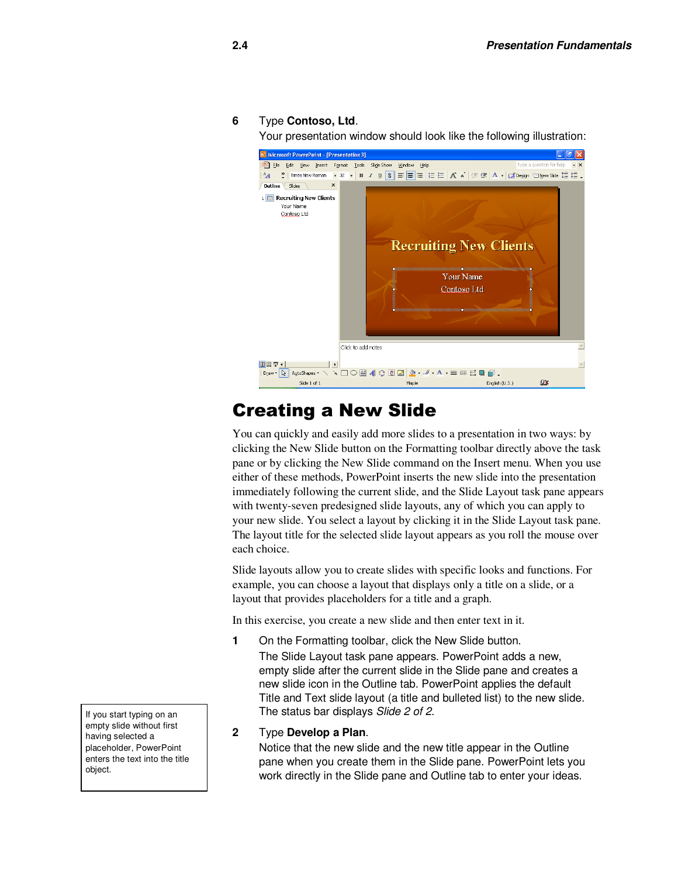#### **6** Type **Contoso, Ltd**.

Your presentation window should look like the following illustration:



# Creating a New Slide

You can quickly and easily add more slides to a presentation in two ways: by clicking the New Slide button on the Formatting toolbar directly above the task pane or by clicking the New Slide command on the Insert menu. When you use either of these methods, PowerPoint inserts the new slide into the presentation immediately following the current slide, and the Slide Layout task pane appears with twenty-seven predesigned slide layouts, any of which you can apply to your new slide. You select a layout by clicking it in the Slide Layout task pane. The layout title for the selected slide layout appears as you roll the mouse over each choice.

Slide layouts allow you to create slides with specific looks and functions. For example, you can choose a layout that displays only a title on a slide, or a layout that provides placeholders for a title and a graph.

In this exercise, you create a new slide and then enter text in it.

**1** On the Formatting toolbar, click the New Slide button. The Slide Layout task pane appears. PowerPoint adds a new, empty slide after the current slide in the Slide pane and creates a new slide icon in the Outline tab. PowerPoint applies the default Title and Text slide layout (a title and bulleted list) to the new slide. The status bar displays Slide 2 of 2.

#### **2** Type **Develop a Plan**.

Notice that the new slide and the new title appear in the Outline pane when you create them in the Slide pane. PowerPoint lets you work directly in the Slide pane and Outline tab to enter your ideas.

If you start typing on an empty slide without first having selected a placeholder, PowerPoint enters the text into the title object.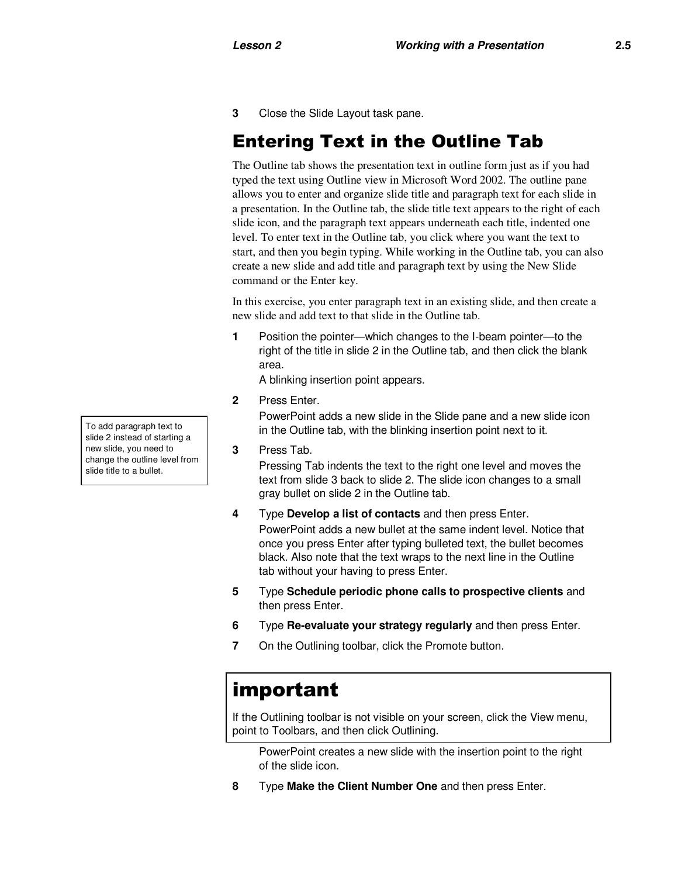**3** Close the Slide Layout task pane.

# Entering Text in the Outline Tab

The Outline tab shows the presentation text in outline form just as if you had typed the text using Outline view in Microsoft Word 2002. The outline pane allows you to enter and organize slide title and paragraph text for each slide in a presentation. In the Outline tab, the slide title text appears to the right of each slide icon, and the paragraph text appears underneath each title, indented one level. To enter text in the Outline tab, you click where you want the text to start, and then you begin typing. While working in the Outline tab, you can also create a new slide and add title and paragraph text by using the New Slide command or the Enter key.

In this exercise, you enter paragraph text in an existing slide, and then create a new slide and add text to that slide in the Outline tab.

**1** Position the pointer—which changes to the I-beam pointer—to the right of the title in slide 2 in the Outline tab, and then click the blank area.

A blinking insertion point appears.

**2** Press Enter.

PowerPoint adds a new slide in the Slide pane and a new slide icon in the Outline tab, with the blinking insertion point next to it.

**3** Press Tab.

Pressing Tab indents the text to the right one level and moves the text from slide 3 back to slide 2. The slide icon changes to a small gray bullet on slide 2 in the Outline tab.

**4** Type **Develop a list of contacts** and then press Enter. PowerPoint adds a new bullet at the same indent level. Notice that

once you press Enter after typing bulleted text, the bullet becomes black. Also note that the text wraps to the next line in the Outline tab without your having to press Enter.

- **5** Type **Schedule periodic phone calls to prospective clients** and then press Enter.
- **6** Type **Re-evaluate your strategy regularly** and then press Enter.
- **7** On the Outlining toolbar, click the Promote button.

# important

If the Outlining toolbar is not visible on your screen, click the View menu, point to Toolbars, and then click Outlining.

PowerPoint creates a new slide with the insertion point to the right of the slide icon.

**8** Type **Make the Client Number One** and then press Enter.

To add paragraph text to slide 2 instead of starting a new slide, you need to change the outline level from slide title to a bullet.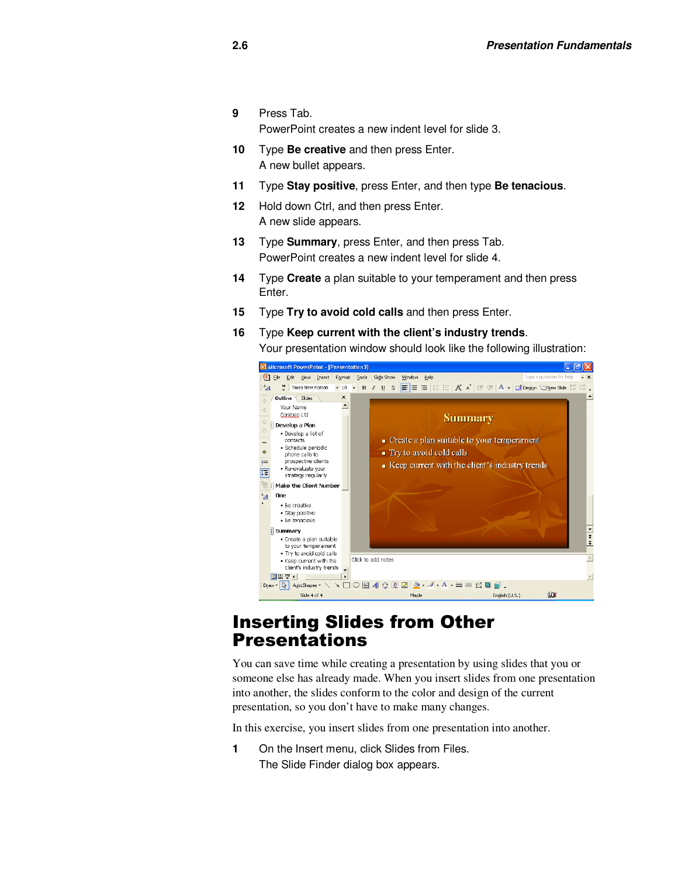- **9** Press Tab. PowerPoint creates a new indent level for slide 3.
- **10** Type **Be creative** and then press Enter. A new bullet appears.
- **11** Type **Stay positive**, press Enter, and then type **Be tenacious**.
- **12** Hold down Ctrl, and then press Enter. A new slide appears.
- **13** Type **Summary**, press Enter, and then press Tab. PowerPoint creates a new indent level for slide 4.
- **14** Type **Create** a plan suitable to your temperament and then press Enter.
- **15** Type **Try to avoid cold calls** and then press Enter.
- **16** Type **Keep current with the client's industry trends**. Your presentation window should look like the following illustration:



#### Inserting Slides from Other Presentations

You can save time while creating a presentation by using slides that you or someone else has already made. When you insert slides from one presentation into another, the slides conform to the color and design of the current presentation, so you don't have to make many changes.

In this exercise, you insert slides from one presentation into another.

**1** On the Insert menu, click Slides from Files. The Slide Finder dialog box appears.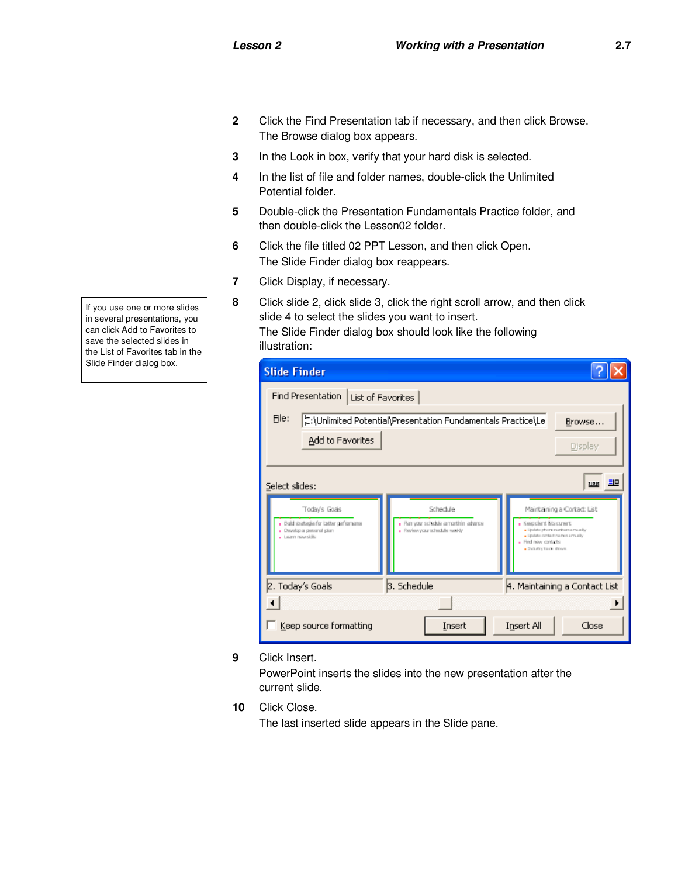- **2** Click the Find Presentation tab if necessary, and then click Browse. The Browse dialog box appears.
- **3** In the Look in box, verify that your hard disk is selected.
- **4** In the list of file and folder names, double-click the Unlimited Potential folder.
- **5** Double-click the Presentation Fundamentals Practice folder, and then double-click the Lesson02 folder.
- **6** Click the file titled 02 PPT Lesson, and then click Open. The Slide Finder dialog box reappears.
- **7** Click Display, if necessary.
- **8** Click slide 2, click slide 3, click the right scroll arrow, and then click slide 4 to select the slides you want to insert. The Slide Finder dialog box should look like the following illustration:

| <b>Slide Finder</b>                                                                       |                                                                         |                                                                                                                       |  |  |
|-------------------------------------------------------------------------------------------|-------------------------------------------------------------------------|-----------------------------------------------------------------------------------------------------------------------|--|--|
| Find Presentation<br>List of Favorites                                                    |                                                                         |                                                                                                                       |  |  |
| File:<br>:\Unlimited Potential\Presentation Fundamentals Practice\Le<br>Browse            |                                                                         |                                                                                                                       |  |  |
| Add to Favorites                                                                          |                                                                         | Display                                                                                                               |  |  |
|                                                                                           |                                                                         |                                                                                                                       |  |  |
| <u> 카페</u><br>Select slides:                                                              |                                                                         |                                                                                                                       |  |  |
| Today's Goals                                                                             | Schedule                                                                | Maintaining a Cortact: List                                                                                           |  |  |
| . Build strategies for latter geformance<br>. Develop a personal plan<br>- Learn newslots | . Plan your schedule amonth in advance<br>· Review your schedule weekly | . Keepclent Bis current<br>· Update phone numbers aroundly<br>· Update contact names arreally<br>. Find new contacts: |  |  |
|                                                                                           |                                                                         | · Industry-tuck shows                                                                                                 |  |  |
| 2. Today's Goals                                                                          | 3. Schedule                                                             | 4. Maintaining a Contact List                                                                                         |  |  |
|                                                                                           |                                                                         |                                                                                                                       |  |  |
| Keep source formatting                                                                    | Insert                                                                  | Insert All<br>Close                                                                                                   |  |  |

**9** Click Insert.

PowerPoint inserts the slides into the new presentation after the current slide.

**10** Click Close.

The last inserted slide appears in the Slide pane.

If you use one or more slides in several presentations, you can click Add to Favorites to save the selected slides in the List of Favorites tab in the Slide Finder dialog box.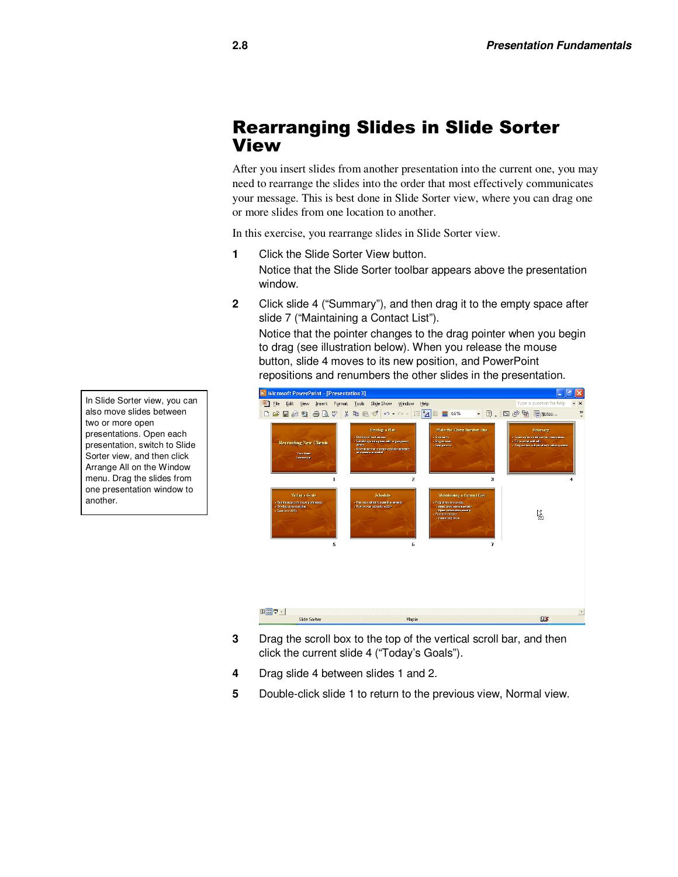### Rearranging Slides in Slide Sorter View

After you insert slides from another presentation into the current one, you may need to rearrange the slides into the order that most effectively communicates your message. This is best done in Slide Sorter view, where you can drag one or more slides from one location to another.

In this exercise, you rearrange slides in Slide Sorter view.

- **1** Click the Slide Sorter View button. Notice that the Slide Sorter toolbar appears above the presentation window.
- **2** Click slide 4 ("Summary"), and then drag it to the empty space after slide 7 ("Maintaining a Contact List").

Notice that the pointer changes to the drag pointer when you begin to drag (see illustration below). When you release the mouse button, slide 4 moves to its new position, and PowerPoint repositions and renumbers the other slides in the presentation.



- **3** Drag the scroll box to the top of the vertical scroll bar, and then click the current slide 4 ("Today's Goals").
- **4** Drag slide 4 between slides 1 and 2.
- **5** Double-click slide 1 to return to the previous view, Normal view.

In Slide Sorter view, you can also move slides between two or more open presentations. Open each presentation, switch to Slide Sorter view, and then click Arrange All on the Window menu. Drag the slides from one presentation window to another.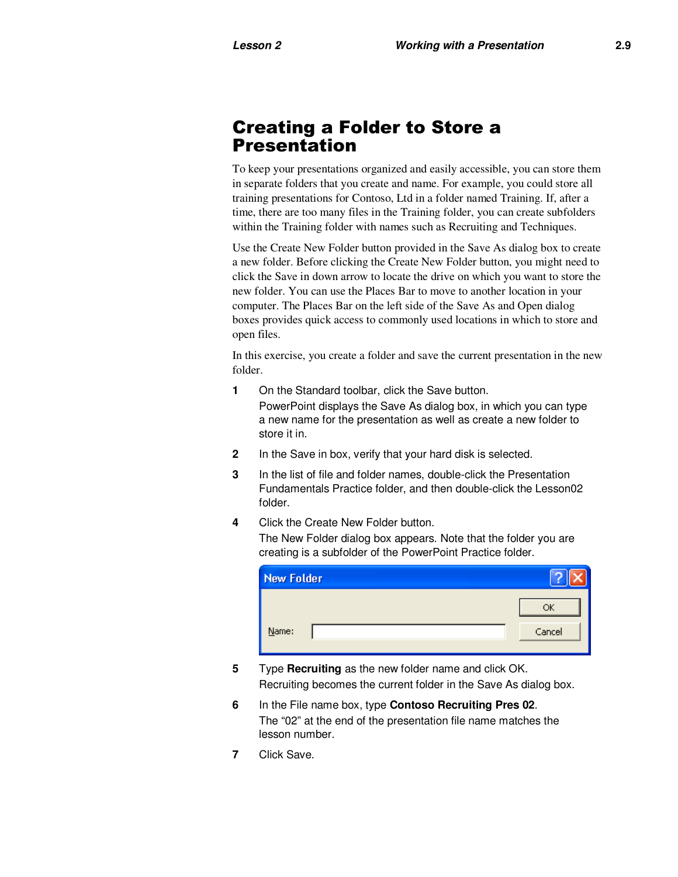# Creating a Folder to Store a Presentation

To keep your presentations organized and easily accessible, you can store them in separate folders that you create and name. For example, you could store all training presentations for Contoso, Ltd in a folder named Training. If, after a time, there are too many files in the Training folder, you can create subfolders within the Training folder with names such as Recruiting and Techniques.

Use the Create New Folder button provided in the Save As dialog box to create a new folder. Before clicking the Create New Folder button, you might need to click the Save in down arrow to locate the drive on which you want to store the new folder. You can use the Places Bar to move to another location in your computer. The Places Bar on the left side of the Save As and Open dialog boxes provides quick access to commonly used locations in which to store and open files.

In this exercise, you create a folder and save the current presentation in the new folder.

- **1** On the Standard toolbar, click the Save button. PowerPoint displays the Save As dialog box, in which you can type a new name for the presentation as well as create a new folder to store it in.
- **2** In the Save in box, verify that your hard disk is selected.
- **3** In the list of file and folder names, double-click the Presentation Fundamentals Practice folder, and then double-click the Lesson02 folder.
- **4** Click the Create New Folder button.

The New Folder dialog box appears. Note that the folder you are creating is a subfolder of the PowerPoint Practice folder.

| <b>New Folder</b> |        |
|-------------------|--------|
|                   | ОК     |
| Name:             | Cancel |

- **5** Type **Recruiting** as the new folder name and click OK. Recruiting becomes the current folder in the Save As dialog box.
- **6** In the File name box, type **Contoso Recruiting Pres 02**. The "02" at the end of the presentation file name matches the lesson number.
- **7** Click Save.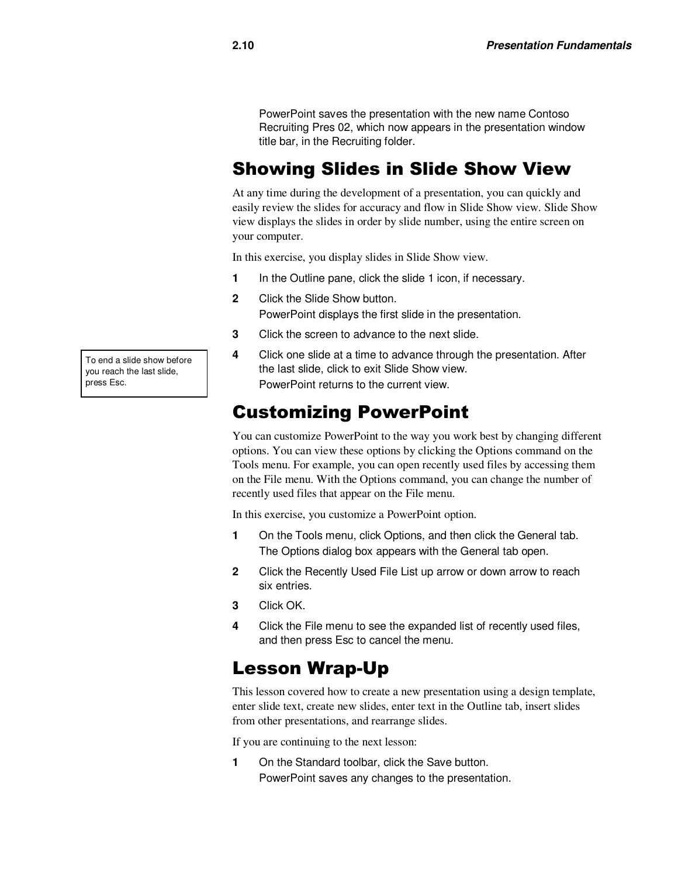PowerPoint saves the presentation with the new name Contoso Recruiting Pres 02, which now appears in the presentation window title bar, in the Recruiting folder.

# Showing Slides in Slide Show View

At any time during the development of a presentation, you can quickly and easily review the slides for accuracy and flow in Slide Show view. Slide Show view displays the slides in order by slide number, using the entire screen on your computer.

In this exercise, you display slides in Slide Show view.

- **1** In the Outline pane, click the slide 1 icon, if necessary.
- **2** Click the Slide Show button. PowerPoint displays the first slide in the presentation.
- **3** Click the screen to advance to the next slide.
- **4** Click one slide at a time to advance through the presentation. After the last slide, click to exit Slide Show view. PowerPoint returns to the current view.

### Customizing PowerPoint

You can customize PowerPoint to the way you work best by changing different options. You can view these options by clicking the Options command on the Tools menu. For example, you can open recently used files by accessing them on the File menu. With the Options command, you can change the number of recently used files that appear on the File menu.

In this exercise, you customize a PowerPoint option.

- **1** On the Tools menu, click Options, and then click the General tab. The Options dialog box appears with the General tab open.
- **2** Click the Recently Used File List up arrow or down arrow to reach six entries.
- **3** Click OK.
- **4** Click the File menu to see the expanded list of recently used files, and then press Esc to cancel the menu.

#### Lesson Wrap-Up

This lesson covered how to create a new presentation using a design template, enter slide text, create new slides, enter text in the Outline tab, insert slides from other presentations, and rearrange slides.

If you are continuing to the next lesson:

**1** On the Standard toolbar, click the Save button. PowerPoint saves any changes to the presentation.

To end a slide show before you reach the last slide, press Esc.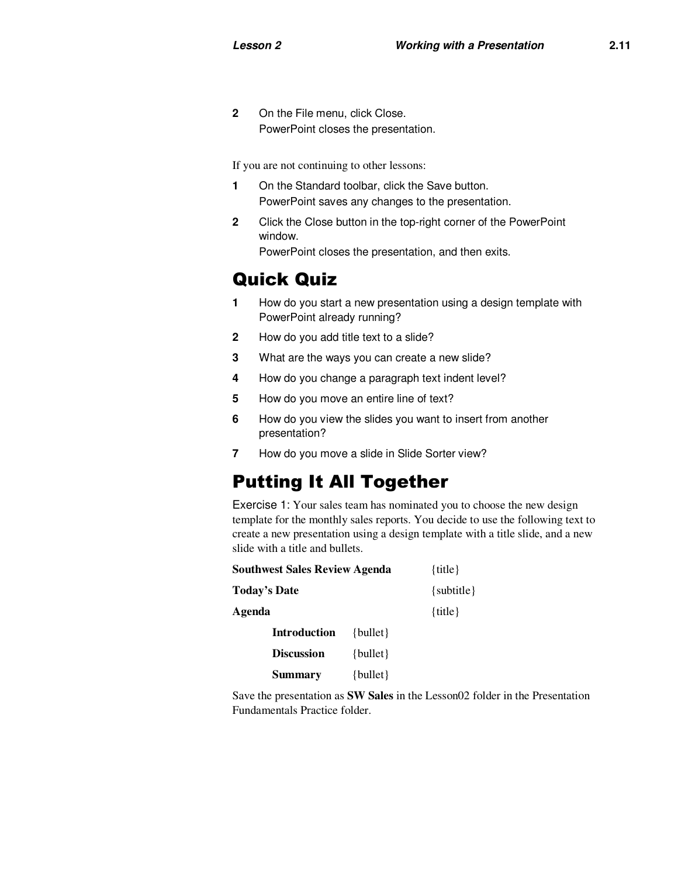**2** On the File menu, click Close. PowerPoint closes the presentation.

If you are not continuing to other lessons:

- **1** On the Standard toolbar, click the Save button. PowerPoint saves any changes to the presentation.
- **2** Click the Close button in the top-right corner of the PowerPoint window. PowerPoint closes the presentation, and then exits.

Quick Quiz

- **1** How do you start a new presentation using a design template with PowerPoint already running?
- **2** How do you add title text to a slide?
- **3** What are the ways you can create a new slide?
- **4** How do you change a paragraph text indent level?
- **5** How do you move an entire line of text?
- **6** How do you view the slides you want to insert from another presentation?
- **7** How do you move a slide in Slide Sorter view?

# Putting It All Together

Exercise 1: Your sales team has nominated you to choose the new design template for the monthly sales reports. You decide to use the following text to create a new presentation using a design template with a title slide, and a new slide with a title and bullets.

| <b>Southwest Sales Review Agenda</b> |              | $\{title\}$    |
|--------------------------------------|--------------|----------------|
| Today's Date                         |              | $\{subtitle\}$ |
| Agenda                               |              | $\{title\}$    |
| <b>Introduction</b>                  | $\{bullet\}$ |                |
| <b>Discussion</b>                    | $\{bullet\}$ |                |
| <b>Summary</b>                       | $\{bullet\}$ |                |

Save the presentation as **SW Sales** in the Lesson02 folder in the Presentation Fundamentals Practice folder.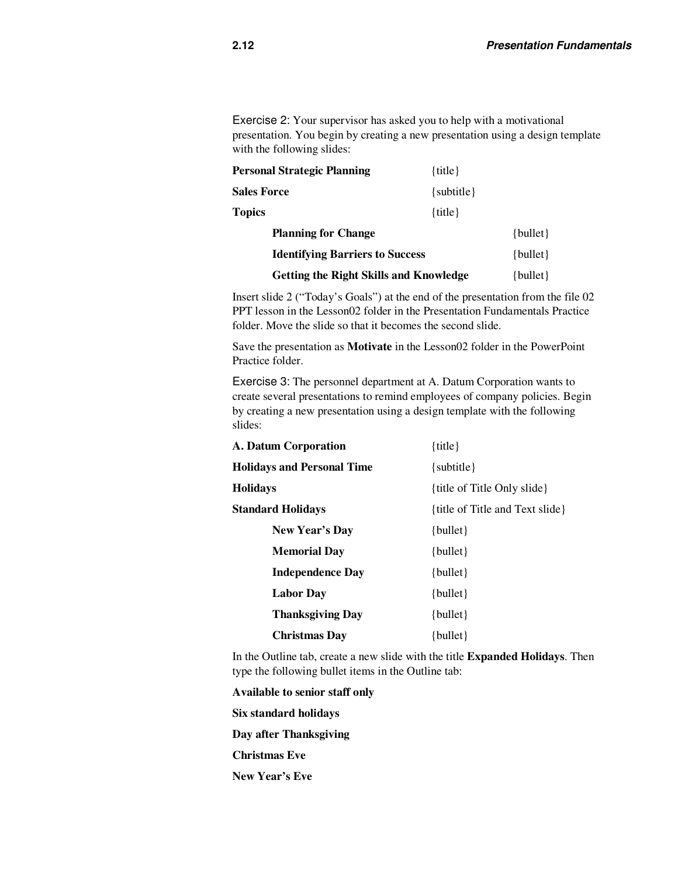Exercise 2: Your supervisor has asked you to help with a motivational presentation. You begin by creating a new presentation using a design template with the following slides:

| Personal Strategic Planning                   | $\{title\}$    |              |
|-----------------------------------------------|----------------|--------------|
| <b>Sales Force</b>                            | $\{subtitle\}$ |              |
| <b>Topics</b>                                 | $\{title\}$    |              |
| <b>Planning for Change</b>                    |                | $\{bullet\}$ |
| <b>Identifying Barriers to Success</b>        |                | $\{bullet\}$ |
| <b>Getting the Right Skills and Knowledge</b> |                | $\{bullet\}$ |

Insert slide 2 ("Today's Goals") at the end of the presentation from the file 02 PPT lesson in the Lesson02 folder in the Presentation Fundamentals Practice folder. Move the slide so that it becomes the second slide.

Save the presentation as **Motivate** in the Lesson02 folder in the PowerPoint Practice folder.

Exercise 3: The personnel department at A. Datum Corporation wants to create several presentations to remind employees of company policies. Begin by creating a new presentation using a design template with the following slides:

| A. Datum Corporation              | $\{title\}$                     |  |
|-----------------------------------|---------------------------------|--|
| <b>Holidays and Personal Time</b> | $\{subtitle\}$                  |  |
| <b>Holidays</b>                   | {title of Title Only slide}     |  |
| <b>Standard Holidays</b>          | {title of Title and Text slide} |  |
| New Year's Day                    | $\{bullet\}$                    |  |
| <b>Memorial Day</b>               | $\{bullet\}$                    |  |
| <b>Independence Day</b>           | $\{bullet\}$                    |  |
| <b>Labor Day</b>                  | $\{bullet\}$                    |  |
| <b>Thanksgiving Day</b>           | $\{bullet\}$                    |  |
| <b>Christmas Day</b>              | $\{bullet\}$                    |  |

In the Outline tab, create a new slide with the title **Expanded Holidays**. Then type the following bullet items in the Outline tab:

**Available to senior staff only Six standard holidays Day after Thanksgiving Christmas Eve New Year's Eve**